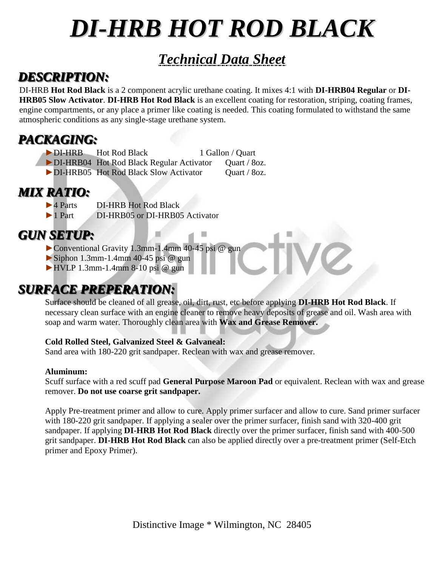# *DI-HRB HOT ROD BLACK*

### *Technical Data Sheet*

### *DESCRIPTION:*

DI-HRB **Hot Rod Black** is a 2 component acrylic urethane coating. It mixes 4:1 with **DI-HRB04 Regular** or **DI-HRB05 Slow Activator**. **DI-HRB Hot Rod Black** is an excellent coating for restoration, striping, coating frames, engine compartments, or any place a primer like coating is needed. This coating formulated to withstand the same atmospheric conditions as any single-stage urethane system.

閖

### *PACKAGING:*

- ►DI-HRB Hot Rod Black 1 Gallon / Quart
- ►DI-HRB04 Hot Rod Black Regular Activator Quart / 8oz.
- ▶DI-HRB05 Hot Rod Black Slow Activator Quart / 8oz.

## *MIX RATIO:*<br>**PAParts**

- DI-HRB Hot Rod Black
- ►1 Part DI-HRB05 or DI-HRB05 Activator

### *GUN SETUP:*

- ►Conventional Gravity 1.3mm-1.4mm 40-45 psi @ gun
- $\triangleright$  Siphon 1.3mm-1.4mm 40-45 psi @ gun
- $\blacktriangleright$  HVLP 1.3mm-1.4mm 8-10 psi @ gun

### *SURFACE PREPERATION:*

Surface should be cleaned of all grease, oil, dirt, rust, etc before applying **DI-HRB Hot Rod Black**. If necessary clean surface with an engine cleaner to remove heavy deposits of grease and oil. Wash area with soap and warm water. Thoroughly clean area with **Wax and Grease Remover.**

#### **Cold Rolled Steel, Galvanized Steel & Galvaneal:**

Sand area with 180-220 grit sandpaper. Reclean with wax and grease remover.

#### **Aluminum:**

Scuff surface with a red scuff pad **General Purpose Maroon Pad** or equivalent. Reclean with wax and grease remover. **Do not use coarse grit sandpaper.**

Apply Pre-treatment primer and allow to cure. Apply primer surfacer and allow to cure. Sand primer surfacer with 180-220 grit sandpaper. If applying a sealer over the primer surfacer, finish sand with 320-400 grit sandpaper. If applying **DI-HRB Hot Rod Black** directly over the primer surfacer, finish sand with 400-500 grit sandpaper. **DI-HRB Hot Rod Black** can also be applied directly over a pre-treatment primer (Self-Etch primer and Epoxy Primer).